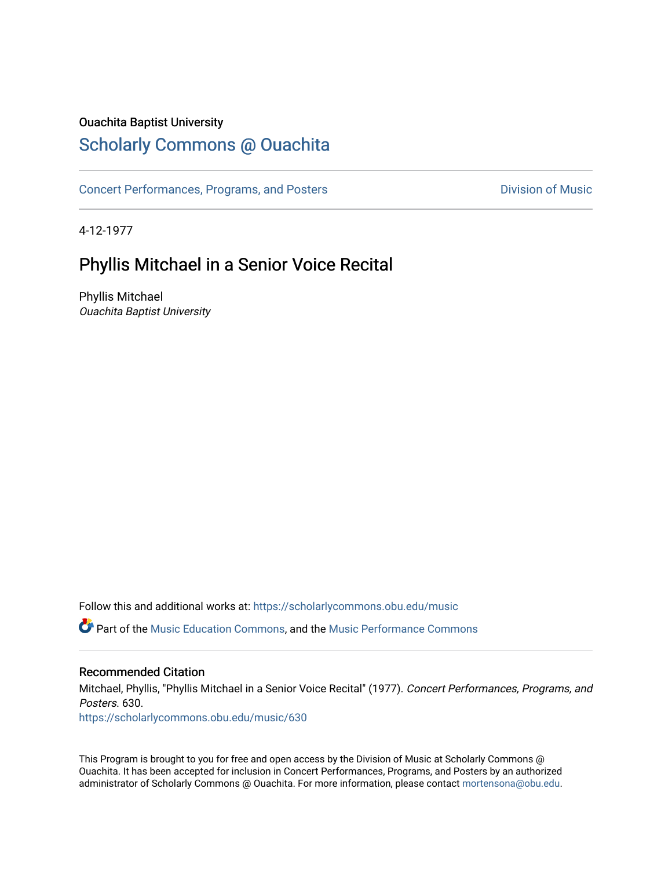### Ouachita Baptist University

## [Scholarly Commons @ Ouachita](https://scholarlycommons.obu.edu/)

[Concert Performances, Programs, and Posters](https://scholarlycommons.obu.edu/music) **Division of Music** Division of Music

4-12-1977

## Phyllis Mitchael in a Senior Voice Recital

Phyllis Mitchael Ouachita Baptist University

Follow this and additional works at: [https://scholarlycommons.obu.edu/music](https://scholarlycommons.obu.edu/music?utm_source=scholarlycommons.obu.edu%2Fmusic%2F630&utm_medium=PDF&utm_campaign=PDFCoverPages) 

**C** Part of the [Music Education Commons,](http://network.bepress.com/hgg/discipline/1246?utm_source=scholarlycommons.obu.edu%2Fmusic%2F630&utm_medium=PDF&utm_campaign=PDFCoverPages) and the Music Performance Commons

#### Recommended Citation

Mitchael, Phyllis, "Phyllis Mitchael in a Senior Voice Recital" (1977). Concert Performances, Programs, and Posters. 630.

[https://scholarlycommons.obu.edu/music/630](https://scholarlycommons.obu.edu/music/630?utm_source=scholarlycommons.obu.edu%2Fmusic%2F630&utm_medium=PDF&utm_campaign=PDFCoverPages) 

This Program is brought to you for free and open access by the Division of Music at Scholarly Commons @ Ouachita. It has been accepted for inclusion in Concert Performances, Programs, and Posters by an authorized administrator of Scholarly Commons @ Ouachita. For more information, please contact [mortensona@obu.edu](mailto:mortensona@obu.edu).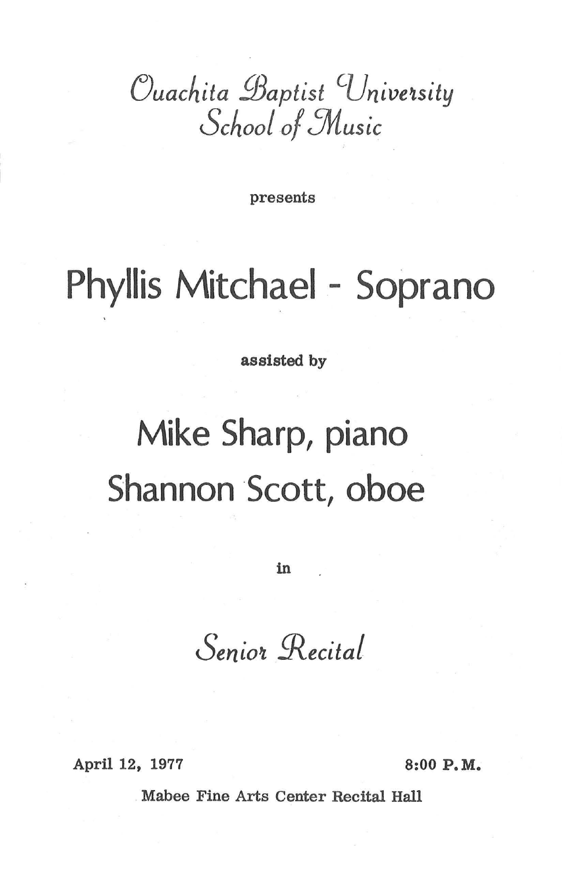*Cuachita Baptist* University *Schoof o/5Music* 

presents

# **Phyllis Mitchael - Soprano**

assisted by

# **Mike Sharp, piano Shannon Scott, oboe**

in

Senior Recital

April 12, 1977 8:00 P.M.

Mabee Fine Arts Center Recital Hall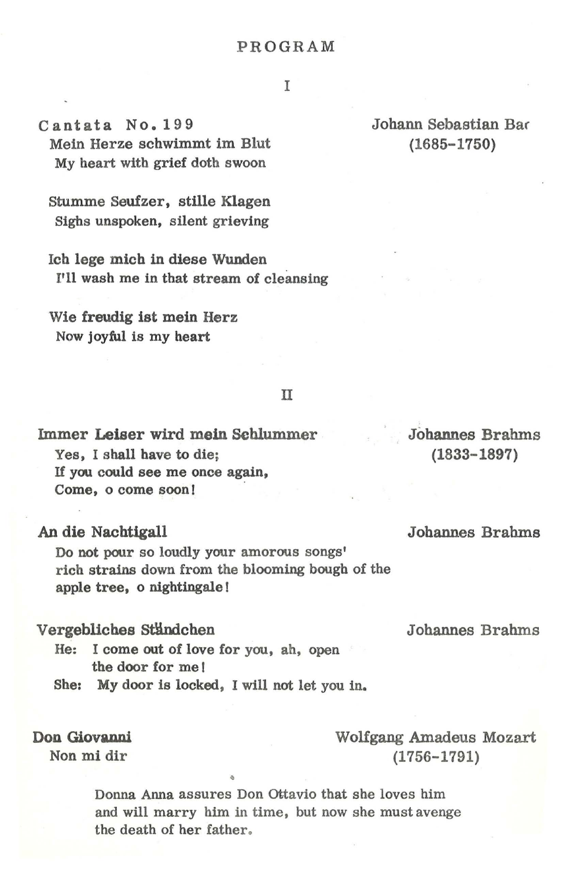I

Cantata No. 199 Mein Herze schwimmt im Blut My heart with grief doth swoon

Stumme Seufzer, stille Klagen Sighs unspoken, silent grieving

Ich lege mich in diese Wunden I'll wash me in that stream of cleansing

Wie freudig ist mein Herz Now joyful is my heart

#### II

Immer Leiser wird mein Sehlummer Yes, I shall have to die; If you could see me once again, Come, o come soon!

An die Nachtigall

Do not pour so loudly your amorous songs' rich strains down from the blooming bough of the apple tree, o nightingale I

#### Vergebliches Ständchen

- He: I come out of love for you, ah, open the door for me I
- She: My door is locked, I will not let you in.

Don Giovanni

Non mi dir

#### Johann Sebastian Bar (1685-1750)

Johannes Brahms

Johannes Brahms

Johannes Brahms (1833-1897)

Wolfgang Amadeus Mozart (1756-1791)

Donna Anna assures Don Ottavio that she loves him and will marry him in time, but now she must avenge the death of her father.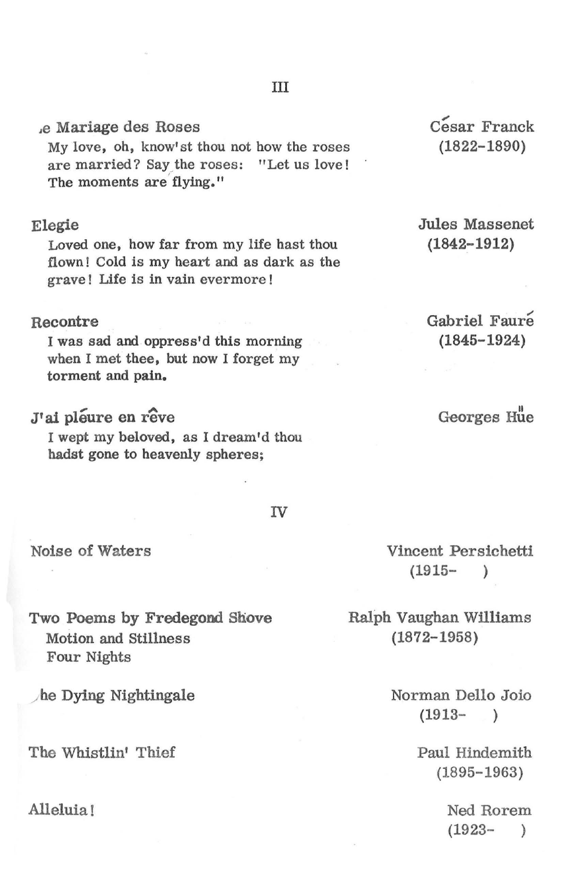#### ,e Mariage des Roses

My love, oh, know' st thou not how the roses are married? Say the roses: "Let us love! The moments are' flying."

#### Elegie

Loved one, how far from my life hast thou flown ! Cold is my heart and as dark as the grave ! Life is in vain evermore !

#### Recontre

I was sad and oppress'd this morning when I met thee, but now I forget my torment and pain.

#### J'ai pléure en rêve

I wept my beloved, as I dream'd thou hadst gone to heavenly spheres;

Jules Massenet (1842-1912)

Gabriel Faure (1845-1924)

Georges Hue

IV

III

Noise of Waters

Two Poems by Fredegond Shove Motion and Stillness Four Nights

he Dying Nightingale

The Whistlin' Thief

Alleluia!

Vincent Persichetti  $(1915 - )$ 

Ralph Vaughan Williams (1872-1958)

> Norman Delio Joio  $(1913 - )$

> > Paul Hindemith (1895-1963)

> > > Ned Rorem  $(1923 - )$